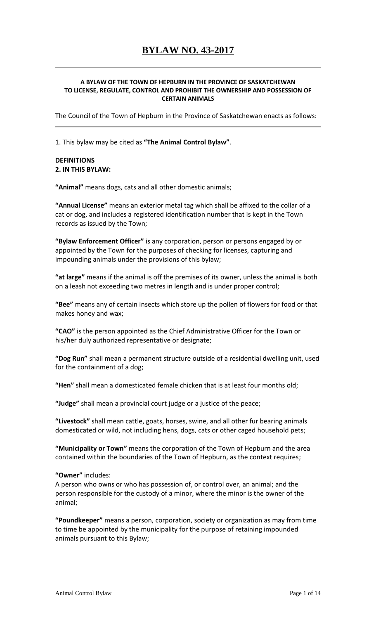#### **A BYLAW OF THE TOWN OF HEPBURN IN THE PROVINCE OF SASKATCHEWAN TO LICENSE, REGULATE, CONTROL AND PROHIBIT THE OWNERSHIP AND POSSESSION OF CERTAIN ANIMALS**

The Council of the Town of Hepburn in the Province of Saskatchewan enacts as follows:

1. This bylaw may be cited as **"The Animal Control Bylaw"**.

#### **DEFINITIONS 2. IN THIS BYLAW:**

**"Animal"** means dogs, cats and all other domestic animals;

**"Annual License"** means an exterior metal tag which shall be affixed to the collar of a cat or dog, and includes a registered identification number that is kept in the Town records as issued by the Town;

**"Bylaw Enforcement Officer"** is any corporation, person or persons engaged by or appointed by the Town for the purposes of checking for licenses, capturing and impounding animals under the provisions of this bylaw;

**"at large"** means if the animal is off the premises of its owner, unless the animal is both on a leash not exceeding two metres in length and is under proper control;

**"Bee"** means any of certain insects which store up the pollen of flowers for food or that makes honey and wax;

**"CAO"** is the person appointed as the Chief Administrative Officer for the Town or his/her duly authorized representative or designate;

**"Dog Run"** shall mean a permanent structure outside of a residential dwelling unit, used for the containment of a dog;

**"Hen"** shall mean a domesticated female chicken that is at least four months old;

**"Judge"** shall mean a provincial court judge or a justice of the peace;

**"Livestock"** shall mean cattle, goats, horses, swine, and all other fur bearing animals domesticated or wild, not including hens, dogs, cats or other caged household pets;

**"Municipality or Town"** means the corporation of the Town of Hepburn and the area contained within the boundaries of the Town of Hepburn, as the context requires;

**"Owner"** includes:

A person who owns or who has possession of, or control over, an animal; and the person responsible for the custody of a minor, where the minor is the owner of the animal;

**"Poundkeeper"** means a person, corporation, society or organization as may from time to time be appointed by the municipality for the purpose of retaining impounded animals pursuant to this Bylaw;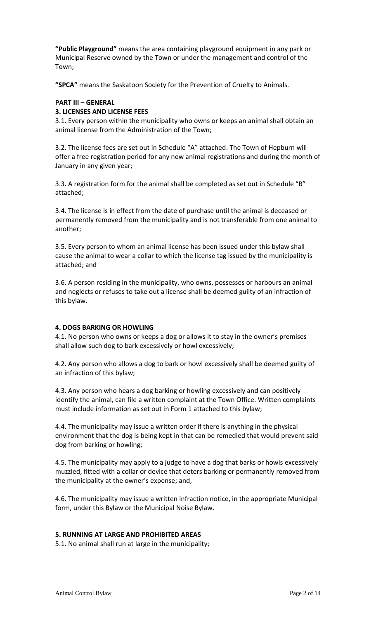**"Public Playground"** means the area containing playground equipment in any park or Municipal Reserve owned by the Town or under the management and control of the Town;

**"SPCA"** means the Saskatoon Society for the Prevention of Cruelty to Animals.

#### **PART III – GENERAL**

#### **3. LICENSES AND LICENSE FEES**

3.1. Every person within the municipality who owns or keeps an animal shall obtain an animal license from the Administration of the Town;

3.2. The license fees are set out in Schedule "A" attached. The Town of Hepburn will offer a free registration period for any new animal registrations and during the month of January in any given year;

3.3. A registration form for the animal shall be completed as set out in Schedule "B" attached;

3.4. The license is in effect from the date of purchase until the animal is deceased or permanently removed from the municipality and is not transferable from one animal to another;

3.5. Every person to whom an animal license has been issued under this bylaw shall cause the animal to wear a collar to which the license tag issued by the municipality is attached; and

3.6. A person residing in the municipality, who owns, possesses or harbours an animal and neglects or refuses to take out a license shall be deemed guilty of an infraction of this bylaw.

#### **4. DOGS BARKING OR HOWLING**

4.1. No person who owns or keeps a dog or allows it to stay in the owner's premises shall allow such dog to bark excessively or howl excessively;

4.2. Any person who allows a dog to bark or howl excessively shall be deemed guilty of an infraction of this bylaw;

4.3. Any person who hears a dog barking or howling excessively and can positively identify the animal, can file a written complaint at the Town Office. Written complaints must include information as set out in Form 1 attached to this bylaw;

4.4. The municipality may issue a written order if there is anything in the physical environment that the dog is being kept in that can be remedied that would prevent said dog from barking or howling;

4.5. The municipality may apply to a judge to have a dog that barks or howls excessively muzzled, fitted with a collar or device that deters barking or permanently removed from the municipality at the owner's expense; and,

4.6. The municipality may issue a written infraction notice, in the appropriate Municipal form, under this Bylaw or the Municipal Noise Bylaw.

#### **5. RUNNING AT LARGE AND PROHIBITED AREAS**

5.1. No animal shall run at large in the municipality;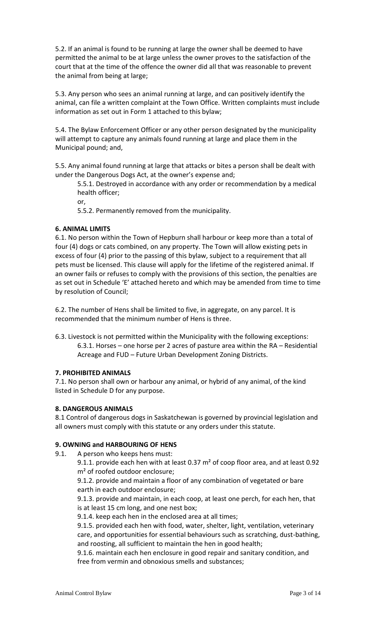5.2. If an animal is found to be running at large the owner shall be deemed to have permitted the animal to be at large unless the owner proves to the satisfaction of the court that at the time of the offence the owner did all that was reasonable to prevent the animal from being at large;

5.3. Any person who sees an animal running at large, and can positively identify the animal, can file a written complaint at the Town Office. Written complaints must include information as set out in Form 1 attached to this bylaw;

5.4. The Bylaw Enforcement Officer or any other person designated by the municipality will attempt to capture any animals found running at large and place them in the Municipal pound; and,

5.5. Any animal found running at large that attacks or bites a person shall be dealt with under the Dangerous Dogs Act, at the owner's expense and;

5.5.1. Destroyed in accordance with any order or recommendation by a medical health officer;

or,

5.5.2. Permanently removed from the municipality.

## **6. ANIMAL LIMITS**

6.1. No person within the Town of Hepburn shall harbour or keep more than a total of four (4) dogs or cats combined, on any property. The Town will allow existing pets in excess of four (4) prior to the passing of this bylaw, subject to a requirement that all pets must be licensed. This clause will apply for the lifetime of the registered animal. If an owner fails or refuses to comply with the provisions of this section, the penalties are as set out in Schedule 'E' attached hereto and which may be amended from time to time by resolution of Council;

6.2. The number of Hens shall be limited to five, in aggregate, on any parcel. It is recommended that the minimum number of Hens is three.

6.3. Livestock is not permitted within the Municipality with the following exceptions: 6.3.1. Horses – one horse per 2 acres of pasture area within the RA – Residential Acreage and FUD – Future Urban Development Zoning Districts.

#### **7. PROHIBITED ANIMALS**

7.1. No person shall own or harbour any animal, or hybrid of any animal, of the kind listed in Schedule D for any purpose.

#### **8. DANGEROUS ANIMALS**

8.1 Control of dangerous dogs in Saskatchewan is governed by provincial legislation and all owners must comply with this statute or any orders under this statute.

# **9. OWNING and HARBOURING OF HENS**

9.1. A person who keeps hens must:

9.1.1. provide each hen with at least 0.37 m<sup>2</sup> of coop floor area, and at least 0.92 m<sup>2</sup> of roofed outdoor enclosure;

9.1.2. provide and maintain a floor of any combination of vegetated or bare earth in each outdoor enclosure;

9.1.3. provide and maintain, in each coop, at least one perch, for each hen, that is at least 15 cm long, and one nest box;

9.1.4. keep each hen in the enclosed area at all times;

9.1.5. provided each hen with food, water, shelter, light, ventilation, veterinary care, and opportunities for essential behaviours such as scratching, dust-bathing, and roosting, all sufficient to maintain the hen in good health;

9.1.6. maintain each hen enclosure in good repair and sanitary condition, and free from vermin and obnoxious smells and substances;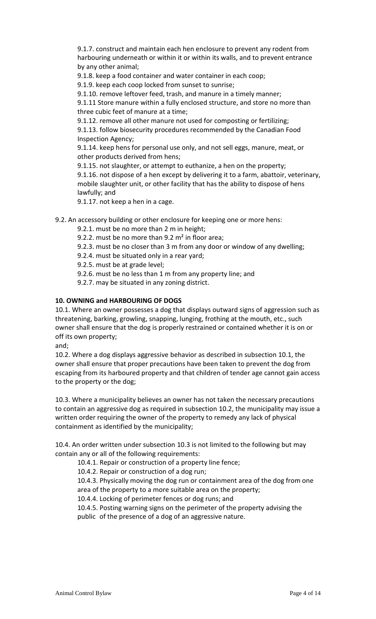9.1.7. construct and maintain each hen enclosure to prevent any rodent from harbouring underneath or within it or within its walls, and to prevent entrance by any other animal;

9.1.8. keep a food container and water container in each coop;

9.1.9. keep each coop locked from sunset to sunrise;

9.1.10. remove leftover feed, trash, and manure in a timely manner;

9.1.11 Store manure within a fully enclosed structure, and store no more than three cubic feet of manure at a time;

9.1.12. remove all other manure not used for composting or fertilizing;

9.1.13. follow biosecurity procedures recommended by the Canadian Food Inspection Agency;

9.1.14. keep hens for personal use only, and not sell eggs, manure, meat, or other products derived from hens;

9.1.15. not slaughter, or attempt to euthanize, a hen on the property;

9.1.16. not dispose of a hen except by delivering it to a farm, abattoir, veterinary, mobile slaughter unit, or other facility that has the ability to dispose of hens lawfully; and

9.1.17. not keep a hen in a cage.

9.2. An accessory building or other enclosure for keeping one or more hens:

- 9.2.1. must be no more than 2 m in height;
- 9.2.2. must be no more than  $9.2 \text{ m}^2$  in floor area;
- 9.2.3. must be no closer than 3 m from any door or window of any dwelling;
- 9.2.4. must be situated only in a rear yard;
- 9.2.5. must be at grade level;

9.2.6. must be no less than 1 m from any property line; and

9.2.7. may be situated in any zoning district.

## **10. OWNING and HARBOURING OF DOGS**

10.1. Where an owner possesses a dog that displays outward signs of aggression such as threatening, barking, growling, snapping, lunging, frothing at the mouth, etc., such owner shall ensure that the dog is properly restrained or contained whether it is on or off its own property;

and;

10.2. Where a dog displays aggressive behavior as described in subsection 10.1, the owner shall ensure that proper precautions have been taken to prevent the dog from escaping from its harboured property and that children of tender age cannot gain access to the property or the dog;

10.3. Where a municipality believes an owner has not taken the necessary precautions to contain an aggressive dog as required in subsection 10.2, the municipality may issue a written order requiring the owner of the property to remedy any lack of physical containment as identified by the municipality;

10.4. An order written under subsection 10.3 is not limited to the following but may contain any or all of the following requirements:

10.4.1. Repair or construction of a property line fence;

10.4.2. Repair or construction of a dog run;

10.4.3. Physically moving the dog run or containment area of the dog from one area of the property to a more suitable area on the property;

10.4.4. Locking of perimeter fences or dog runs; and

10.4.5. Posting warning signs on the perimeter of the property advising the public of the presence of a dog of an aggressive nature.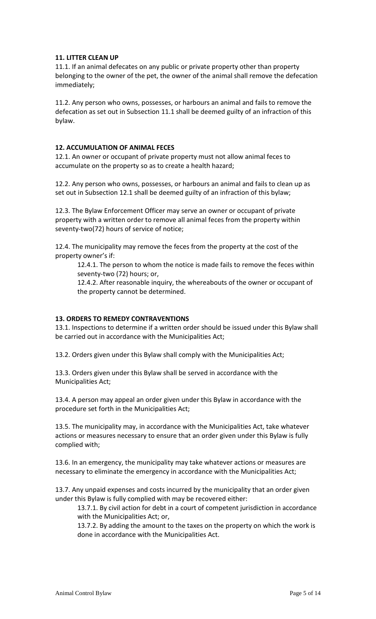#### **11. LITTER CLEAN UP**

11.1. If an animal defecates on any public or private property other than property belonging to the owner of the pet, the owner of the animal shall remove the defecation immediately;

11.2. Any person who owns, possesses, or harbours an animal and fails to remove the defecation as set out in Subsection 11.1 shall be deemed guilty of an infraction of this bylaw.

#### **12. ACCUMULATION OF ANIMAL FECES**

12.1. An owner or occupant of private property must not allow animal feces to accumulate on the property so as to create a health hazard;

12.2. Any person who owns, possesses, or harbours an animal and fails to clean up as set out in Subsection 12.1 shall be deemed guilty of an infraction of this bylaw;

12.3. The Bylaw Enforcement Officer may serve an owner or occupant of private property with a written order to remove all animal feces from the property within seventy-two(72) hours of service of notice;

12.4. The municipality may remove the feces from the property at the cost of the property owner's if:

12.4.1. The person to whom the notice is made fails to remove the feces within seventy-two (72) hours; or,

12.4.2. After reasonable inquiry, the whereabouts of the owner or occupant of the property cannot be determined.

#### **13. ORDERS TO REMEDY CONTRAVENTIONS**

13.1. Inspections to determine if a written order should be issued under this Bylaw shall be carried out in accordance with the Municipalities Act;

13.2. Orders given under this Bylaw shall comply with the Municipalities Act;

13.3. Orders given under this Bylaw shall be served in accordance with the Municipalities Act;

13.4. A person may appeal an order given under this Bylaw in accordance with the procedure set forth in the Municipalities Act;

13.5. The municipality may, in accordance with the Municipalities Act, take whatever actions or measures necessary to ensure that an order given under this Bylaw is fully complied with;

13.6. In an emergency, the municipality may take whatever actions or measures are necessary to eliminate the emergency in accordance with the Municipalities Act;

13.7. Any unpaid expenses and costs incurred by the municipality that an order given under this Bylaw is fully complied with may be recovered either:

13.7.1. By civil action for debt in a court of competent jurisdiction in accordance with the Municipalities Act; or,

13.7.2. By adding the amount to the taxes on the property on which the work is done in accordance with the Municipalities Act.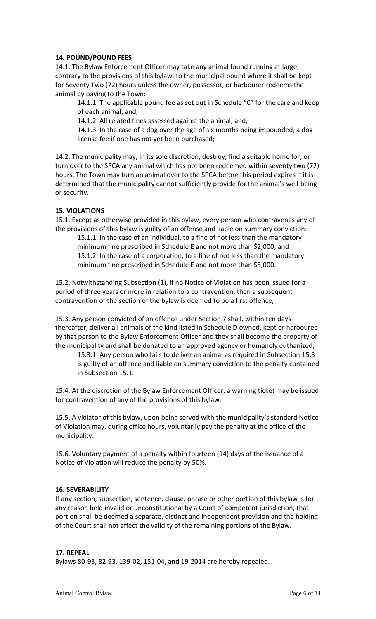### **14. POUND/POUND FEES**

14.1. The Bylaw Enforcement Officer may take any animal found running at large, contrary to the provisions of this bylaw, to the municipal pound where it shall be kept for Seventy Two (72) hours unless the owner, possessor, or harbourer redeems the animal by paying to the Town:

14.1.1. The applicable pound fee as set out in Schedule "C" for the care and keep of each animal; and,

14.1.2. All related fines assessed against the animal; and,

14.1.3. In the case of a dog over the age of six months being impounded, a dog license fee if one has not yet been purchased;

14.2. The municipality may, in its sole discretion, destroy, find a suitable home for, or turn over to the SPCA any animal which has not been redeemed within seventy two (72) hours. The Town may turn an animal over to the SPCA before this period expires if it is determined that the municipality cannot sufficiently provide for the animal's well being or security.

## **15. VIOLATIONS**

15.1. Except as otherwise provided in this bylaw, every person who contravenes any of the provisions of this bylaw is guilty of an offense and liable on summary conviction:

15.1.1. In the case of an individual, to a fine of not less than the mandatory minimum fine prescribed in Schedule E and not more than \$2,000; and 15.1.2. In the case of a corporation, to a fine of not less than the mandatory minimum fine prescribed in Schedule E and not more than \$5,000.

15.2. Notwithstanding Subsection (1), if no Notice of Violation has been issued for a period of three years or more in relation to a contravention, then a subsequent contravention of the section of the bylaw is deemed to be a first offence;

15.3. Any person convicted of an offence under Section 7 shall, within ten days thereafter, deliver all animals of the kind listed in Schedule D owned, kept or harboured by that person to the Bylaw Enforcement Officer and they shall become the property of the municipality and shall be donated to an approved agency or humanely euthanized;

15.3.1. Any person who fails to deliver an animal as required in Subsection 15.3 is guilty of an offence and liable on summary conviction to the penalty contained in Subsection 15.1.

15.4. At the discretion of the Bylaw Enforcement Officer, a warning ticket may be issued for contravention of any of the provisions of this bylaw.

15.5. A violator of this bylaw, upon being served with the municipality's standard Notice of Violation may, during office hours, voluntarily pay the penalty at the office of the municipality.

15.6. Voluntary payment of a penalty within fourteen (14) days of the issuance of a Notice of Violation will reduce the penalty by 50%.

#### **16. SEVERABILITY**

If any section, subsection, sentence, clause, phrase or other portion of this bylaw is for any reason held invalid or unconstitutional by a Court of competent jurisdiction, that portion shall be deemed a separate, distinct and independent provision and the holding of the Court shall not affect the validity of the remaining portions of the Bylaw.

#### **17. REPEAL**

Bylaws 80-93, 82-93, 139-02, 151-04, and 19-2014 are hereby repealed.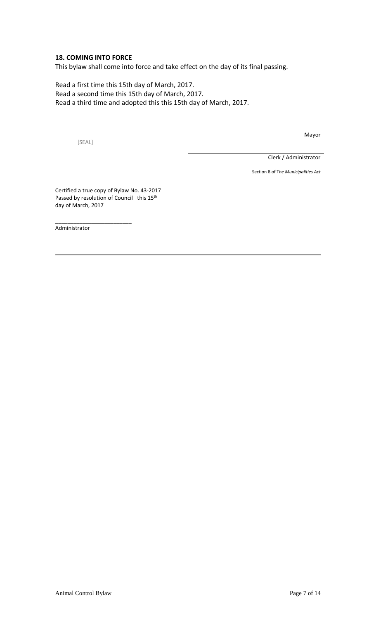### **18. COMING INTO FORCE**

This bylaw shall come into force and take effect on the day of its final passing.

Read a first time this 15th day of March, 2017. Read a second time this 15th day of March, 2017. Read a third time and adopted this this 15th day of March, 2017.

[SEAL]

Mayor

Clerk / Administrator

Section 8 of T*he Municipalities Act*

Certified a true copy of Bylaw No. 43-2017 Passed by resolution of Council this 15<sup>th</sup> day of March, 2017

\_\_\_\_\_\_\_\_\_\_\_\_\_\_\_\_\_\_\_\_\_\_\_\_\_

Administrator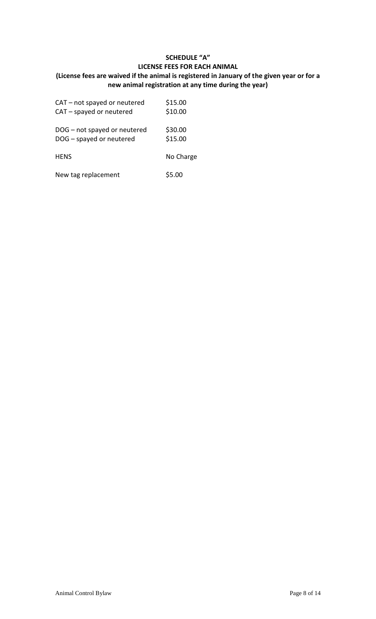# **SCHEDULE "A" LICENSE FEES FOR EACH ANIMAL (License fees are waived if the animal is registered in January of the given year or for a new animal registration at any time during the year)**

| CAT - not spayed or neutered | \$15.00   |
|------------------------------|-----------|
| CAT - spayed or neutered     | \$10.00   |
| DOG - not spayed or neutered | \$30.00   |
| DOG - spayed or neutered     | \$15.00   |
| <b>HENS</b>                  | No Charge |
| New tag replacement          | \$5.00    |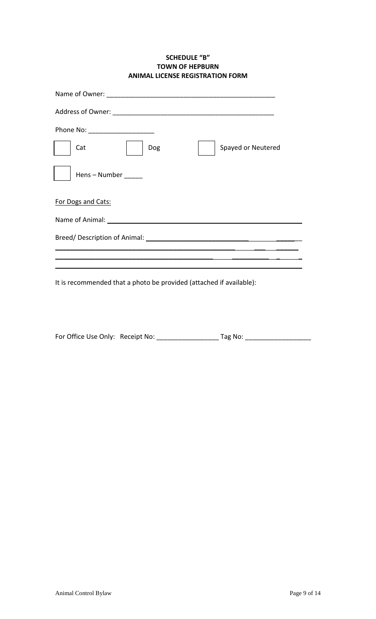### **SCHEDULE "B" TOWN OF HEPBURN ANIMAL LICENSE REGISTRATION FORM**

| Phone No: ________________________    |                    |
|---------------------------------------|--------------------|
| Cat<br>Dog                            | Spayed or Neutered |
| Hens - Number                         |                    |
| For Dogs and Cats:                    |                    |
| Name of Animal: <u>Name of Animal</u> |                    |
|                                       |                    |
|                                       |                    |
|                                       |                    |

It is recommended that a photo be provided (attached if available):

| For Office Use Only: Receipt No: | Tag No: |
|----------------------------------|---------|
|                                  |         |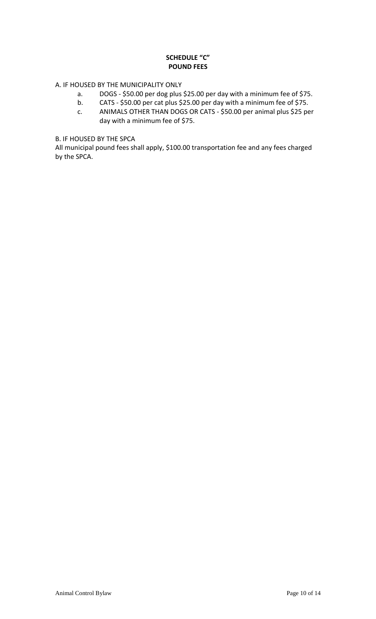# **SCHEDULE "C" POUND FEES**

# A. IF HOUSED BY THE MUNICIPALITY ONLY

- a. DOGS \$50.00 per dog plus \$25.00 per day with a minimum fee of \$75.
- b. CATS \$50.00 per cat plus \$25.00 per day with a minimum fee of \$75.
- c. ANIMALS OTHER THAN DOGS OR CATS \$50.00 per animal plus \$25 per day with a minimum fee of \$75.

# B. IF HOUSED BY THE SPCA

All municipal pound fees shall apply, \$100.00 transportation fee and any fees charged by the SPCA.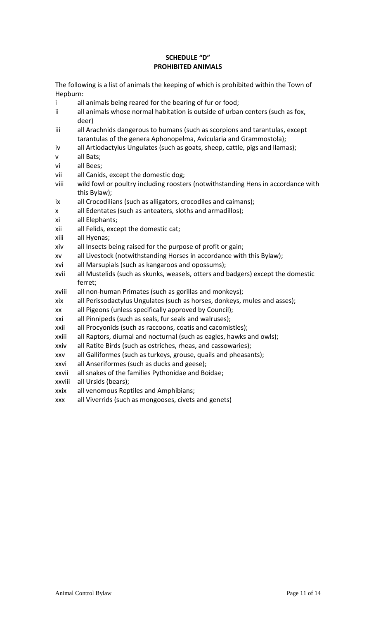### **SCHEDULE "D" PROHIBITED ANIMALS**

The following is a list of animals the keeping of which is prohibited within the Town of Hepburn:

- i all animals being reared for the bearing of fur or food;
- ii all animals whose normal habitation is outside of urban centers (such as fox, deer)
- iii all Arachnids dangerous to humans (such as scorpions and tarantulas, except tarantulas of the genera Aphonopelma, Avicularia and Grammostola);
- iv all Artiodactylus Ungulates (such as goats, sheep, cattle, pigs and llamas);
- all Bats;
- vi all Bees;
- vii all Canids, except the domestic dog;
- viii wild fowl or poultry including roosters (notwithstanding Hens in accordance with this Bylaw);
- ix all Crocodilians (such as alligators, crocodiles and caimans);
- x all Edentates (such as anteaters, sloths and armadillos);
- xi all Elephants;
- xii all Felids, except the domestic cat;
- xiii all Hyenas;
- xiv all Insects being raised for the purpose of profit or gain;
- xv all Livestock (notwithstanding Horses in accordance with this Bylaw);
- xvi all Marsupials (such as kangaroos and opossums);
- xvii all Mustelids (such as skunks, weasels, otters and badgers) except the domestic ferret;
- xviii all non-human Primates (such as gorillas and monkeys);
- xix all Perissodactylus Ungulates (such as horses, donkeys, mules and asses);
- xx all Pigeons (unless specifically approved by Council);
- xxi all Pinnipeds (such as seals, fur seals and walruses);
- xxii all Procyonids (such as raccoons, coatis and cacomistles);
- xxiii all Raptors, diurnal and nocturnal (such as eagles, hawks and owls);
- xxiv all Ratite Birds (such as ostriches, rheas, and cassowaries);
- xxv all Galliformes (such as turkeys, grouse, quails and pheasants);
- xxvi all Anseriformes (such as ducks and geese);
- xxvii all snakes of the families Pythonidae and Boidae;
- xxviii all Ursids (bears);
- xxix all venomous Reptiles and Amphibians;
- xxx all Viverrids (such as mongooses, civets and genets)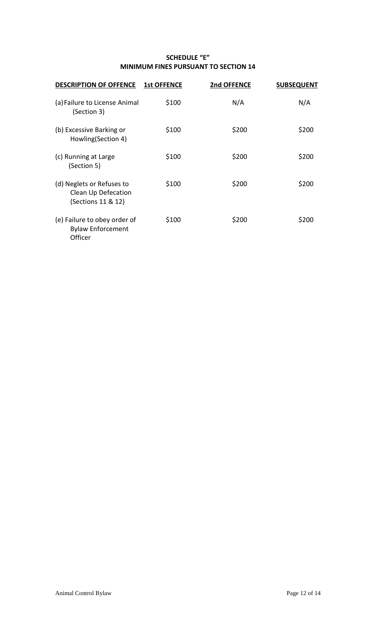# **SCHEDULE "E" MINIMUM FINES PURSUANT TO SECTION 14**

| <b>DESCRIPTION OF OFFENCE</b>                                          | <b>1st OFFENCE</b> | 2nd OFFENCE | <b>SUBSEQUENT</b> |
|------------------------------------------------------------------------|--------------------|-------------|-------------------|
| (a) Failure to License Animal<br>(Section 3)                           | \$100              | N/A         | N/A               |
| (b) Excessive Barking or<br>Howling(Section 4)                         | \$100              | \$200       | \$200             |
| (c) Running at Large<br>(Section 5)                                    | \$100              | \$200       | \$200             |
| (d) Neglets or Refuses to<br>Clean Up Defecation<br>(Sections 11 & 12) | \$100              | \$200       | \$200             |
| (e) Failure to obey order of<br><b>Bylaw Enforcement</b><br>Officer    | \$100              | \$200       | \$200             |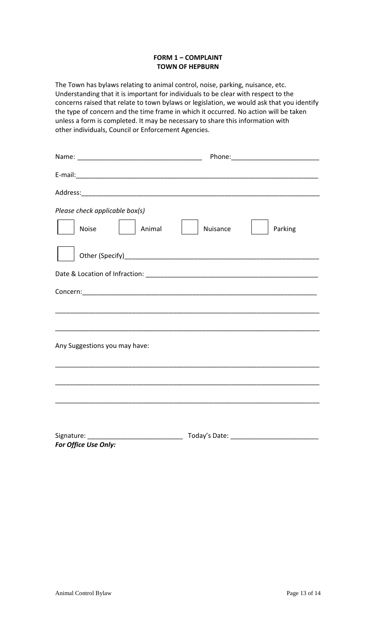### **FORM 1 – COMPLAINT TOWN OF HEPBURN**

The Town has bylaws relating to animal control, noise, parking, nuisance, etc. Understanding that it is important for individuals to be clear with respect to the concerns raised that relate to town bylaws or legislation, we would ask that you identify the type of concern and the time frame in which it occurred. No action will be taken unless a form is completed. It may be necessary to share this information with other individuals, Council or Enforcement Agencies.

| Please check applicable box(s)<br>Animal<br>Noise | Nuisance | Parking |
|---------------------------------------------------|----------|---------|
|                                                   |          |         |
|                                                   |          |         |
|                                                   |          |         |
|                                                   |          |         |
| Any Suggestions you may have:                     |          |         |
|                                                   |          |         |
|                                                   |          |         |
|                                                   |          |         |
| For Office Use Only:                              |          |         |